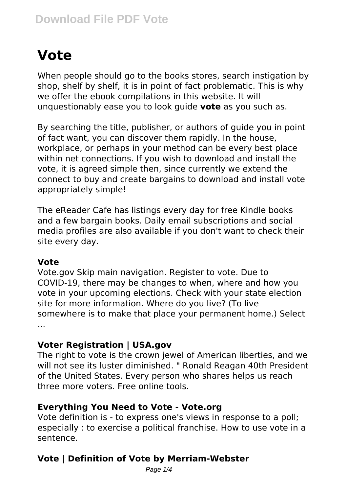# **Vote**

When people should go to the books stores, search instigation by shop, shelf by shelf, it is in point of fact problematic. This is why we offer the ebook compilations in this website. It will unquestionably ease you to look guide **vote** as you such as.

By searching the title, publisher, or authors of guide you in point of fact want, you can discover them rapidly. In the house, workplace, or perhaps in your method can be every best place within net connections. If you wish to download and install the vote, it is agreed simple then, since currently we extend the connect to buy and create bargains to download and install vote appropriately simple!

The eReader Cafe has listings every day for free Kindle books and a few bargain books. Daily email subscriptions and social media profiles are also available if you don't want to check their site every day.

#### **Vote**

Vote.gov Skip main navigation. Register to vote. Due to COVID-19, there may be changes to when, where and how you vote in your upcoming elections. Check with your state election site for more information. Where do you live? (To live somewhere is to make that place your permanent home.) Select ...

#### **Voter Registration | USA.gov**

The right to vote is the crown jewel of American liberties, and we will not see its luster diminished. " Ronald Reagan 40th President of the United States. Every person who shares helps us reach three more voters. Free online tools.

# **Everything You Need to Vote - Vote.org**

Vote definition is - to express one's views in response to a poll; especially : to exercise a political franchise. How to use vote in a sentence.

# **Vote | Definition of Vote by Merriam-Webster**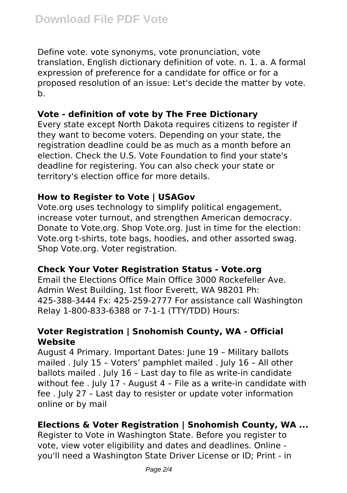Define vote. vote synonyms, vote pronunciation, vote translation, English dictionary definition of vote. n. 1. a. A formal expression of preference for a candidate for office or for a proposed resolution of an issue: Let's decide the matter by vote. b.

# **Vote - definition of vote by The Free Dictionary**

Every state except North Dakota requires citizens to register if they want to become voters. Depending on your state, the registration deadline could be as much as a month before an election. Check the U.S. Vote Foundation to find your state's deadline for registering. You can also check your state or territory's election office for more details.

# **How to Register to Vote | USAGov**

Vote.org uses technology to simplify political engagement, increase voter turnout, and strengthen American democracy. Donate to Vote.org. Shop Vote.org. Just in time for the election: Vote.org t-shirts, tote bags, hoodies, and other assorted swag. Shop Vote.org. Voter registration.

# **Check Your Voter Registration Status - Vote.org**

Email the Elections Office Main Office 3000 Rockefeller Ave. Admin West Building, 1st floor Everett, WA 98201 Ph: 425-388-3444 Fx: 425-259-2777 For assistance call Washington Relay 1-800-833-6388 or 7-1-1 (TTY/TDD) Hours:

# **Voter Registration | Snohomish County, WA - Official Website**

August 4 Primary. Important Dates: June 19 – Military ballots mailed . July 15 – Voters' pamphlet mailed . July 16 – All other ballots mailed . July 16 – Last day to file as write-in candidate without fee . July 17 - August 4 – File as a write-in candidate with fee . July 27 – Last day to resister or update voter information online or by mail

# **Elections & Voter Registration | Snohomish County, WA ...**

Register to Vote in Washington State. Before you register to vote, view voter eligibility and dates and deadlines. Online you'll need a Washington State Driver License or ID; Print - in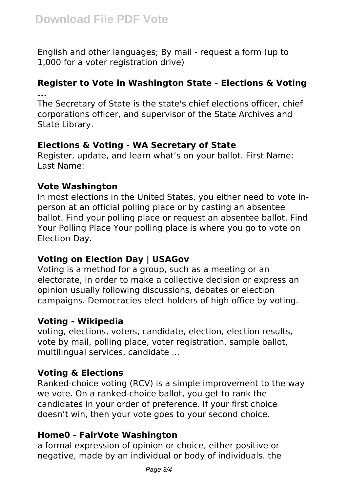English and other languages; By mail - request a form (up to 1,000 for a voter registration drive)

# **Register to Vote in Washington State - Elections & Voting ...**

The Secretary of State is the state's chief elections officer, chief corporations officer, and supervisor of the State Archives and State Library.

# **Elections & Voting - WA Secretary of State**

Register, update, and learn what's on your ballot. First Name: Last Name:

# **Vote Washington**

In most elections in the United States, you either need to vote inperson at an official polling place or by casting an absentee ballot. Find your polling place or request an absentee ballot. Find Your Polling Place Your polling place is where you go to vote on Election Day.

# **Voting on Election Day | USAGov**

Voting is a method for a group, such as a meeting or an electorate, in order to make a collective decision or express an opinion usually following discussions, debates or election campaigns. Democracies elect holders of high office by voting.

# **Voting - Wikipedia**

voting, elections, voters, candidate, election, election results, vote by mail, polling place, voter registration, sample ballot, multilingual services, candidate ...

# **Voting & Elections**

Ranked-choice voting (RCV) is a simple improvement to the way we vote. On a ranked-choice ballot, you get to rank the candidates in your order of preference. If your first choice doesn't win, then your vote goes to your second choice.

# **Home0 - FairVote Washington**

a formal expression of opinion or choice, either positive or negative, made by an individual or body of individuals. the